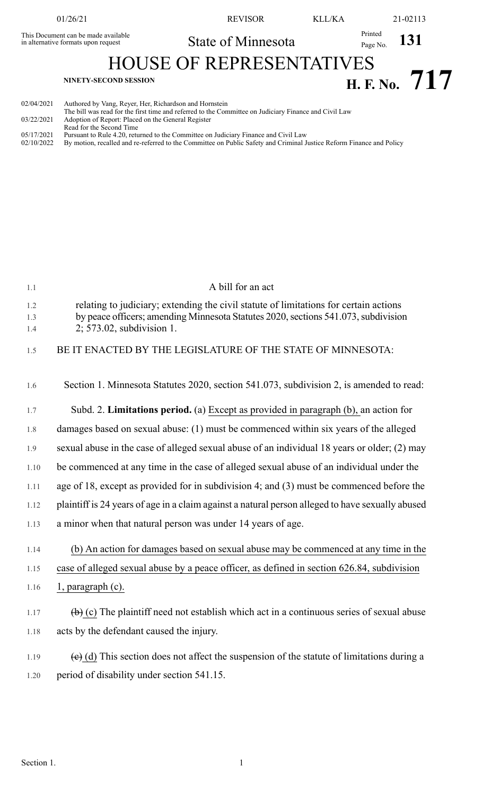## 01/26/21 REVISOR KLL/KA 21-02113 State of Minnesota Printed Page No. 131 This Document can be made available in alternative formats upon request HOUSE OF REPRESENTATIVES **H. F. NO.** 717 02/04/2021 Authored by Vang, Reyer, Her, Richardson and Hornstein The bill was read for the first time and referred to the Committee on Judiciary Finance and Civil Law

By motion, recalled and re-referred to the Committee on Public Safety and Criminal Justice Reform Finance and Policy

03/22/2021 Adoption of Report: Placed on the General Register

05/17/2021 Pursuant to Rule 4.20, returned to the Committee on Judiciary Finance and Civil Law<br>02/10/2022 By motion, recalled and re-referred to the Committee on Public Safety and Criminal J

Read for the Second Time

| 1.1               | A bill for an act                                                                                                                                                                                        |
|-------------------|----------------------------------------------------------------------------------------------------------------------------------------------------------------------------------------------------------|
| 1.2<br>1.3<br>1.4 | relating to judiciary; extending the civil statute of limitations for certain actions<br>by peace officers; amending Minnesota Statutes 2020, sections 541.073, subdivision<br>2; 573.02, subdivision 1. |
| 1.5               | BE IT ENACTED BY THE LEGISLATURE OF THE STATE OF MINNESOTA:                                                                                                                                              |
| 1.6               | Section 1. Minnesota Statutes 2020, section 541.073, subdivision 2, is amended to read:                                                                                                                  |
| 1.7               | Subd. 2. Limitations period. (a) Except as provided in paragraph (b), an action for                                                                                                                      |
| 1.8               | damages based on sexual abuse: (1) must be commenced within six years of the alleged                                                                                                                     |
| 1.9               | sexual abuse in the case of alleged sexual abuse of an individual 18 years or older; (2) may                                                                                                             |
| 1.10              | be commenced at any time in the case of alleged sexual abuse of an individual under the                                                                                                                  |
| 1.11              | age of 18, except as provided for in subdivision 4; and (3) must be commenced before the                                                                                                                 |
| 1.12              | plaintiff is 24 years of age in a claim against a natural person alleged to have sexually abused                                                                                                         |
| 1.13              | a minor when that natural person was under 14 years of age.                                                                                                                                              |
| 1.14              | (b) An action for damages based on sexual abuse may be commenced at any time in the                                                                                                                      |
| 1.15              | case of alleged sexual abuse by a peace officer, as defined in section 626.84, subdivision                                                                                                               |
| 1.16              | $l$ , paragraph $(c)$ .                                                                                                                                                                                  |
| 1.17              | $\left(\frac{b}{c}\right)$ (c) The plaintiff need not establish which act in a continuous series of sexual abuse                                                                                         |
| 1.18              | acts by the defendant caused the injury.                                                                                                                                                                 |
| 1.19<br>1.20      | $\overline{e}$ (d) This section does not affect the suspension of the statute of limitations during a<br>period of disability under section 541.15.                                                      |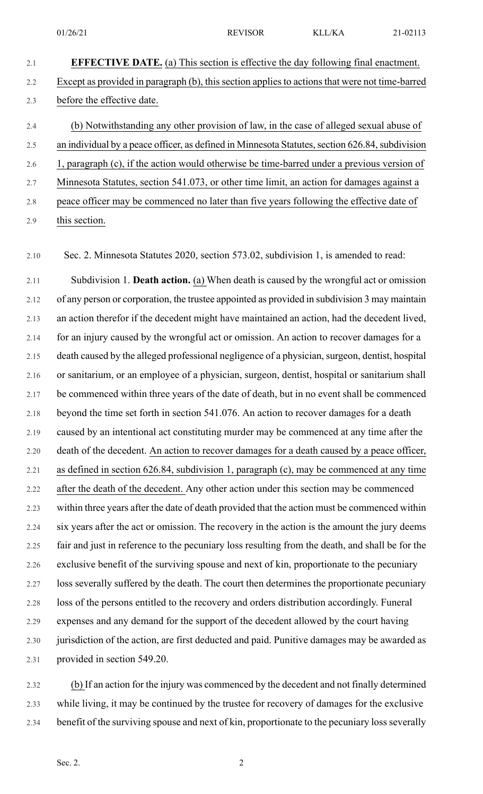| 2.1 | <b>EFFECTIVE DATE.</b> (a) This section is effective the day following final enactment.         |
|-----|-------------------------------------------------------------------------------------------------|
| 2.2 | Except as provided in paragraph (b), this section applies to actions that were not time-barred  |
| 2.3 | before the effective date.                                                                      |
| 2.4 | (b) Notwithstanding any other provision of law, in the case of alleged sexual abuse of          |
| 2.5 | an individual by a peace officer, as defined in Minnesota Statutes, section 626.84, subdivision |
| 2.6 | 1, paragraph (c), if the action would otherwise be time-barred under a previous version of      |

2.7 Minnesota Statutes, section 541.073, or other time limit, an action for damages against a

2.8 peace officer may be commenced no later than five years following the effective date of

2.9 this section.

2.10 Sec. 2. Minnesota Statutes 2020, section 573.02, subdivision 1, is amended to read:

2.11 Subdivision 1. **Death action.** (a) When death is caused by the wrongful act or omission 2.12 of any person or corporation, the trustee appointed as provided in subdivision 3 may maintain 2.13 an action therefor if the decedent might have maintained an action, had the decedent lived, 2.14 for an injury caused by the wrongful act or omission. An action to recover damages for a 2.15 death caused by the alleged professional negligence of a physician, surgeon, dentist, hospital 2.16 or sanitarium, or an employee of a physician, surgeon, dentist, hospital or sanitarium shall 2.17 be commenced within three years of the date of death, but in no event shall be commenced 2.18 beyond the time set forth in section 541.076. An action to recover damages for a death 2.19 caused by an intentional act constituting murder may be commenced at any time after the 2.20 death of the decedent. An action to recover damages for a death caused by a peace officer, 2.21 as defined in section 626.84, subdivision 1, paragraph (c), may be commenced at any time 2.22 after the death of the decedent. Any other action under this section may be commenced 2.23 within three years after the date of death provided that the action must be commenced within 2.24 six years after the act or omission. The recovery in the action is the amount the jury deems 2.25 fair and just in reference to the pecuniary loss resulting from the death, and shall be for the 2.26 exclusive benefit of the surviving spouse and next of kin, proportionate to the pecuniary 2.27 loss severally suffered by the death. The court then determines the proportionate pecuniary 2.28 loss of the persons entitled to the recovery and orders distribution accordingly. Funeral 2.29 expenses and any demand for the support of the decedent allowed by the court having 2.30 jurisdiction of the action, are first deducted and paid. Punitive damages may be awarded as 2.31 provided in section 549.20.

2.32 (b) If an action for the injury was commenced by the decedent and not finally determined 2.33 while living, it may be continued by the trustee for recovery of damages for the exclusive 2.34 benefit of the surviving spouse and next of kin, proportionate to the pecuniary loss severally